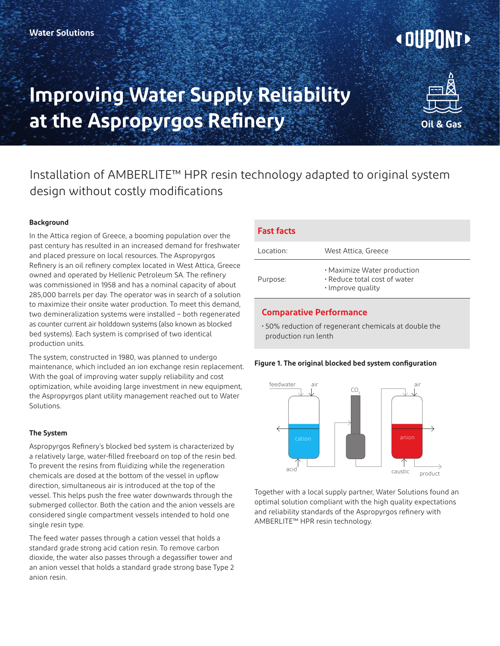# **<DUPUNTE**

## **Improving Water Supply Reliability at the Aspropyrgos Refinery**



### Installation of AMBERLITE™ HPR resin technology adapted to original system design without costly modifications

#### **Background**

In the Attica region of Greece, a booming population over the past century has resulted in an increased demand for freshwater and placed pressure on local resources. The Aspropyrgos Refinery is an oil refinery complex located in West Attica, Greece owned and operated by Hellenic Petroleum SA. The refinery was commissioned in 1958 and has a nominal capacity of about 285,000 barrels per day. The operator was in search of a solution to maximize their onsite water production. To meet this demand, two demineralization systems were installed – both regenerated as counter current air holddown systems (also known as blocked bed systems). Each system is comprised of two identical production units.

The system, constructed in 1980, was planned to undergo maintenance, which included an ion exchange resin replacement. With the goal of improving water supply reliability and cost optimization, while avoiding large investment in new equipment, the Aspropyrgos plant utility management reached out to Water Solutions.

#### **The System**

Aspropyrgos Refinery's blocked bed system is characterized by a relatively large, water-filled freeboard on top of the resin bed. To prevent the resins from fluidizing while the regeneration chemicals are dosed at the bottom of the vessel in upflow direction, simultaneous air is introduced at the top of the vessel. This helps push the free water downwards through the submerged collector. Both the cation and the anion vessels are considered single compartment vessels intended to hold one single resin type.

The feed water passes through a cation vessel that holds a standard grade strong acid cation resin. To remove carbon dioxide, the water also passes through a degassifier tower and an anion vessel that holds a standard grade strong base Type 2 anion resin.

#### **Fast facts**

| Location: | West Attica, Greece                                                              |
|-----------|----------------------------------------------------------------------------------|
| Purpose:  | · Maximize Water production<br>. Reduce total cost of water<br>· Improve quality |

#### **Comparative Performance**

• 50% reduction of regenerant chemicals at double the production run lenth





Together with a local supply partner, Water Solutions found an optimal solution compliant with the high quality expectations and reliability standards of the Aspropyrgos refinery with AMBERLITE™ HPR resin technology.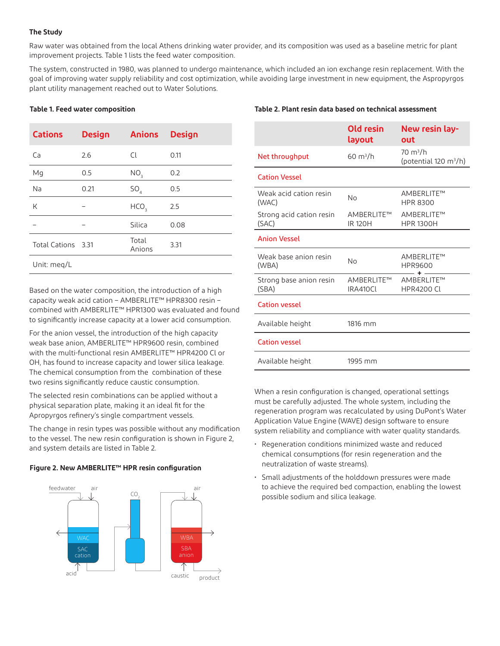#### **The Study**

Raw water was obtained from the local Athens drinking water provider, and its composition was used as a baseline metric for plant improvement projects. Table 1 lists the feed water composition.

The system, constructed in 1980, was planned to undergo maintenance, which included an ion exchange resin replacement. With the goal of improving water supply reliability and cost optimization, while avoiding large investment in new equipment, the Aspropyrgos plant utility management reached out to Water Solutions.

#### **Table 1. Feed water composition**

| <b>Cations</b>     | <b>Design</b> | <b>Anions</b>    | <b>Design</b> |  |
|--------------------|---------------|------------------|---------------|--|
| Ca                 | 2.6           | Cl               | 0.11          |  |
| Mg                 | 0.5           | NO <sub>3</sub>  | 0.2           |  |
| Na                 | 0.21          | SO <sub>4</sub>  | 0.5           |  |
| K                  |               | HCO <sub>3</sub> | 2.5           |  |
|                    |               | Silica           | 0.08          |  |
| Total Cations 3.31 |               | Total<br>Anions  | 3.31          |  |
| Unit: meg/L        |               |                  |               |  |

Based on the water composition, the introduction of a high capacity weak acid cation – AMBERLITE™ HPR8300 resin – combined with AMBERLITE™ HPR1300 was evaluated and found to significantly increase capacity at a lower acid consumption.

For the anion vessel, the introduction of the high capacity weak base anion, AMBERLITE™ HPR9600 resin, combined with the multi-functional resin AMBERLITE™ HPR4200 Cl or OH, has found to increase capacity and lower silica leakage. The chemical consumption from the combination of these two resins significantly reduce caustic consumption.

The selected resin combinations can be applied without a physical separation plate, making it an ideal fit for the Apropyrgos refinery's single compartment vessels.

The change in resin types was possible without any modification to the vessel. The new resin configuration is shown in Figure 2, and system details are listed in Table 2.

#### **Figure 2. New AMBERLITE™ HPR resin configuration**



#### **Table 2. Plant resin data based on technical assessment**

| Old resin<br>layout          | New resin lay-<br>out                          |
|------------------------------|------------------------------------------------|
| $60 \text{ m}^3/h$           | $70 \text{ m}^3/h$<br>(potential 120 $m^3/h$ ) |
|                              |                                                |
| No                           | AMBERLITE™<br><b>HPR 8300</b>                  |
| AMBERLITE™<br><b>IR 120H</b> | AMBERLITE™<br><b>HPR 1300H</b>                 |
|                              |                                                |
| No                           | AMBERLITE™<br>HPR9600                          |
| AMBERLITE™<br>IRA410CL       | AMBFRI ITF™<br><b>HPR4200 CL</b>               |
|                              |                                                |
| 1816 mm                      |                                                |
|                              |                                                |
| 1995 mm                      |                                                |
|                              |                                                |

When a resin configuration is changed, operational settings must be carefully adjusted. The whole system, including the regeneration program was recalculated by using DuPont's Water Application Value Engine (WAVE) design software to ensure system reliability and compliance with water quality standards.

- Regeneration conditions minimized waste and reduced chemical consumptions (for resin regeneration and the neutralization of waste streams).
- Small adjustments of the holddown pressures were made to achieve the required bed compaction, enabling the lowest possible sodium and silica leakage.